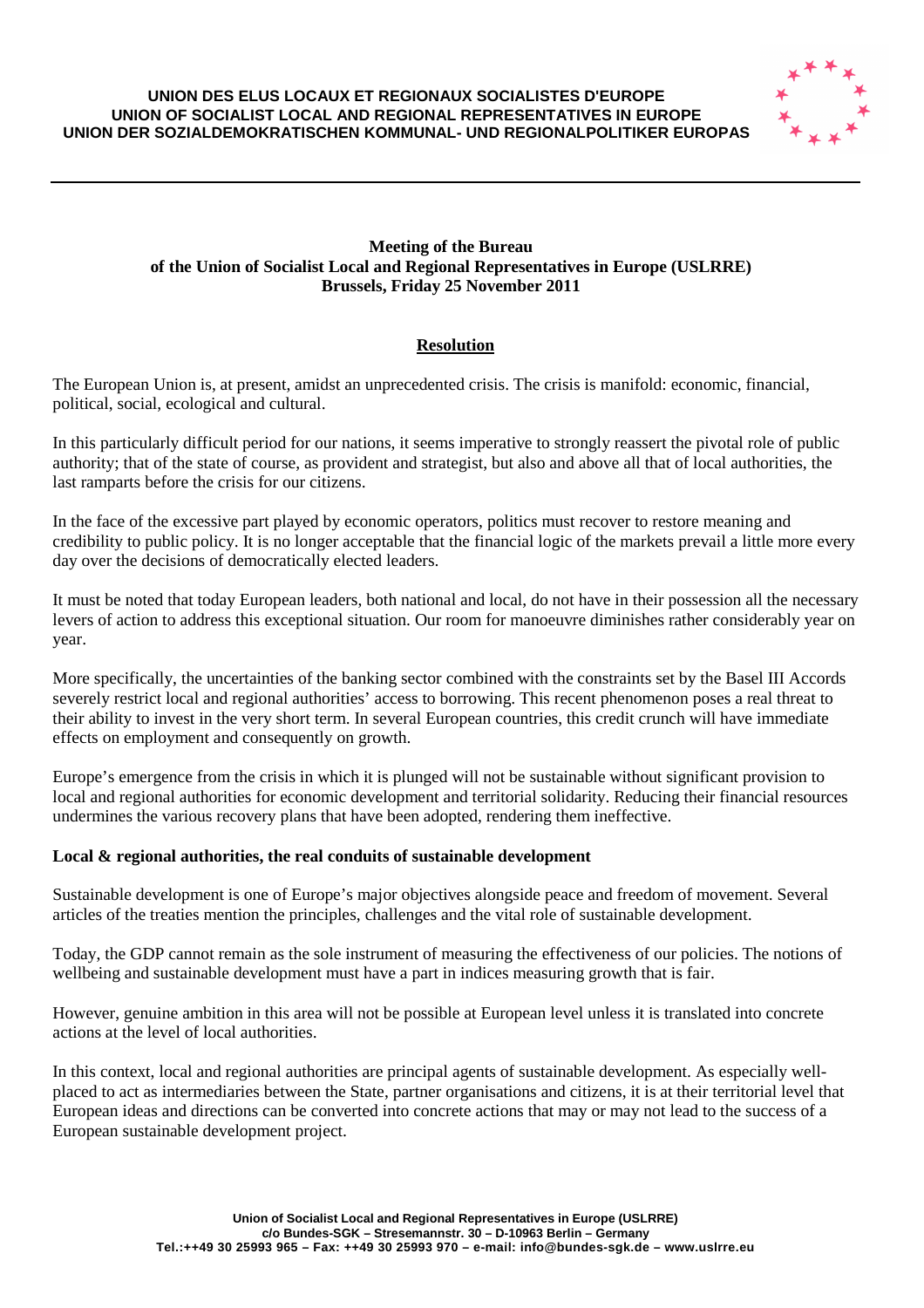#### **UNION DES ELUS LOCAUX ET REGIONAUX SOCIALISTES D'EUROPE UNION OF SOCIALIST LOCAL AND REGIONAL REPRESENTATIVES IN EUROPE UNION DER SOZIALDEMOKRATISCHEN KOMMUNAL- UND REGIONALPOLITIKER EUROPAS**



### **Meeting of the Bureau of the Union of Socialist Local and Regional Representatives in Europe (USLRRE) Brussels, Friday 25 November 2011**

# **Resolution**

The European Union is, at present, amidst an unprecedented crisis. The crisis is manifold: economic, financial, political, social, ecological and cultural.

In this particularly difficult period for our nations, it seems imperative to strongly reassert the pivotal role of public authority; that of the state of course, as provident and strategist, but also and above all that of local authorities, the last ramparts before the crisis for our citizens.

In the face of the excessive part played by economic operators, politics must recover to restore meaning and credibility to public policy. It is no longer acceptable that the financial logic of the markets prevail a little more every day over the decisions of democratically elected leaders.

It must be noted that today European leaders, both national and local, do not have in their possession all the necessary levers of action to address this exceptional situation. Our room for manoeuvre diminishes rather considerably year on year.

More specifically, the uncertainties of the banking sector combined with the constraints set by the Basel III Accords severely restrict local and regional authorities' access to borrowing. This recent phenomenon poses a real threat to their ability to invest in the very short term. In several European countries, this credit crunch will have immediate effects on employment and consequently on growth.

Europe's emergence from the crisis in which it is plunged will not be sustainable without significant provision to local and regional authorities for economic development and territorial solidarity. Reducing their financial resources undermines the various recovery plans that have been adopted, rendering them ineffective.

#### **Local & regional authorities, the real conduits of sustainable development**

Sustainable development is one of Europe's major objectives alongside peace and freedom of movement. Several articles of the treaties mention the principles, challenges and the vital role of sustainable development.

Today, the GDP cannot remain as the sole instrument of measuring the effectiveness of our policies. The notions of wellbeing and sustainable development must have a part in indices measuring growth that is fair.

However, genuine ambition in this area will not be possible at European level unless it is translated into concrete actions at the level of local authorities.

In this context, local and regional authorities are principal agents of sustainable development. As especially wellplaced to act as intermediaries between the State, partner organisations and citizens, it is at their territorial level that European ideas and directions can be converted into concrete actions that may or may not lead to the success of a European sustainable development project.